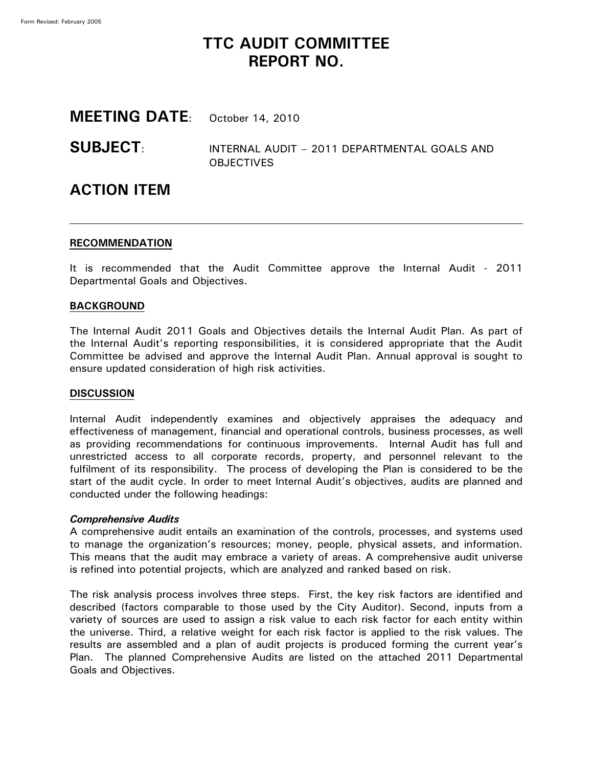# **TTC AUDIT COMMITTEE REPORT NO.**

# **MEETING DATE**: October 14, 2010

# **SUBJECT**: INTERNAL AUDIT – <sup>2011</sup> DEPARTMENTAL GOALS AND **OBJECTIVES**

# **ACTION ITEM**

## **RECOMMENDATION**

It is recommended that the Audit Committee approve the Internal Audit - 2011 Departmental Goals and Objectives.

## **BACKGROUND**

The Internal Audit 2011 Goals and Objectives details the Internal Audit Plan. As part of the Internal Audit's reporting responsibilities, it is considered appropriate that the Audit Committee be advised and approve the Internal Audit Plan. Annual approval is sought to ensure updated consideration of high risk activities.

## **DISCUSSION**

Internal Audit independently examines and objectively appraises the adequacy and effectiveness of management, financial and operational controls, business processes, as well as providing recommendations for continuous improvements. Internal Audit has full and unrestricted access to all corporate records, property, and personnel relevant to the fulfilment of its responsibility. The process of developing the Plan is considered to be the start of the audit cycle. In order to meet Internal Audit's objectives, audits are planned and conducted under the following headings:

## *Comprehensive Audits*

A comprehensive audit entails an examination of the controls, processes, and systems used to manage the organization's resources; money, people, physical assets, and information. This means that the audit may embrace a variety of areas. A comprehensive audit universe is refined into potential projects, which are analyzed and ranked based on risk.

The risk analysis process involves three steps. First, the key risk factors are identified and described (factors comparable to those used by the City Auditor). Second, inputs from a variety of sources are used to assign a risk value to each risk factor for each entity within the universe. Third, a relative weight for each risk factor is applied to the risk values. The results are assembled and a plan of audit projects is produced forming the current year's Plan. The planned Comprehensive Audits are listed on the attached 2011 Departmental Goals and Objectives.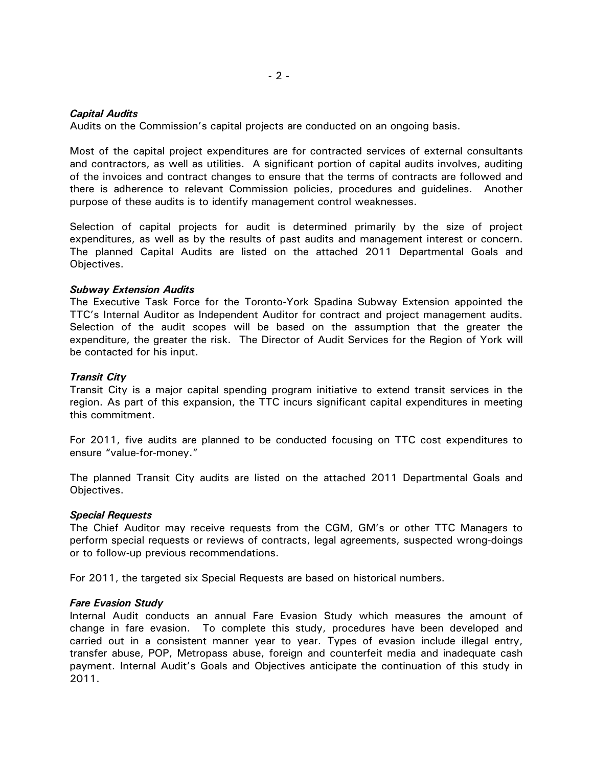## *Capital Audits*

Audits on the Commission's capital projects are conducted on an ongoing basis.

Most of the capital project expenditures are for contracted services of external consultants and contractors, as well as utilities. A significant portion of capital audits involves, auditing of the invoices and contract changes to ensure that the terms of contracts are followed and there is adherence to relevant Commission policies, procedures and guidelines. Another purpose of these audits is to identify management control weaknesses.

Selection of capital projects for audit is determined primarily by the size of project expenditures, as well as by the results of past audits and management interest or concern. The planned Capital Audits are listed on the attached 2011 Departmental Goals and Objectives.

### *Subway Extension Audits*

The Executive Task Force for the Toronto-York Spadina Subway Extension appointed the TTC's Internal Auditor as Independent Auditor for contract and project management audits. Selection of the audit scopes will be based on the assumption that the greater the expenditure, the greater the risk. The Director of Audit Services for the Region of York will be contacted for his input.

## *Transit City*

Transit City is a major capital spending program initiative to extend transit services in the region. As part of this expansion, the TTC incurs significant capital expenditures in meeting this commitment.

For 2011, five audits are planned to be conducted focusing on TTC cost expenditures to ensure "value-for-money."

The planned Transit City audits are listed on the attached 2011 Departmental Goals and Objectives.

### *Special Requests*

The Chief Auditor may receive requests from the CGM, GM's or other TTC Managers to perform special requests or reviews of contracts, legal agreements, suspected wrong-doings or to follow-up previous recommendations.

For 2011, the targeted six Special Requests are based on historical numbers.

### *Fare Evasion Study*

Internal Audit conducts an annual Fare Evasion Study which measures the amount of change in fare evasion. To complete this study, procedures have been developed and carried out in a consistent manner year to year. Types of evasion include illegal entry, transfer abuse, POP, Metropass abuse, foreign and counterfeit media and inadequate cash payment. Internal Audit's Goals and Objectives anticipate the continuation of this study in 2011.